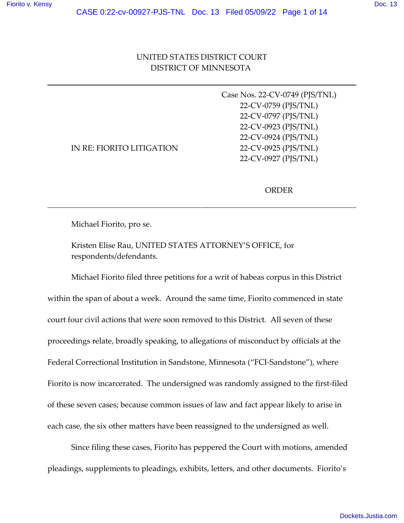# UNITED STATES DISTRICT COURT DISTRICT OF MINNESOTA

|                           | Case Nos. 22-CV-0749 (PJS/TNL) |
|---------------------------|--------------------------------|
|                           | 22-CV-0759 (PJS/TNL)           |
|                           | 22-CV-0797 (PJS/TNL)           |
|                           | 22-CV-0923 (PJS/TNL)           |
|                           | 22-CV-0924 (PJS/TNL)           |
| IN RE: FIORITO LITIGATION | 22-CV-0925 (PJS/TNL)           |
|                           | 22-CV-0927 (PJS/TNL)           |
|                           |                                |

ORDER

Michael Fiorito, pro se.

Kristen Elise Rau, UNITED STATES ATTORNEY'S OFFICE, for respondents/defendants.

Michael Fiorito filed three petitions for a writ of habeas corpus in this District within the span of about a week. Around the same time, Fiorito commenced in state court four civil actions that were soon removed to this District. All seven of these proceedings relate, broadly speaking, to allegations of misconduct by officials at the Federal Correctional Institution in Sandstone, Minnesota ("FCI-Sandstone"), where Fiorito is now incarcerated. The undersigned was randomly assigned to the first-filed of these seven cases; because common issues of law and fact appear likely to arise in each case, the six other matters have been reassigned to the undersigned as well.

Since filing these cases, Fiorito has peppered the Court with motions, amended pleadings, supplements to pleadings, exhibits, letters, and other documents. Fiorito's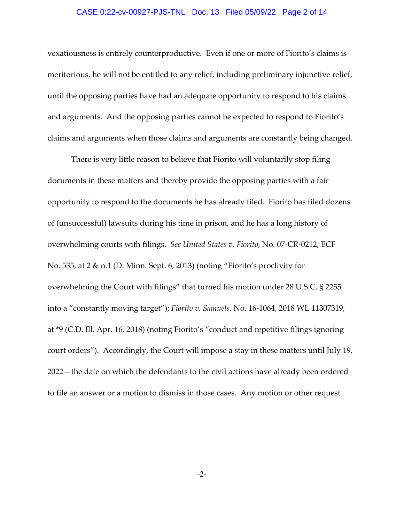### CASE 0:22-cv-00927-PJS-TNL Doc. 13 Filed 05/09/22 Page 2 of 14

vexatiousness is entirely counterproductive. Even if one or more of Fiorito's claims is meritorious, he will not be entitled to any relief, including preliminary injunctive relief, until the opposing parties have had an adequate opportunity to respond to his claims and arguments. And the opposing parties cannot be expected to respond to Fiorito's claims and arguments when those claims and arguments are constantly being changed.

There is very little reason to believe that Fiorito will voluntarily stop filing documents in these matters and thereby provide the opposing parties with a fair opportunity to respond to the documents he has already filed. Fiorito has filed dozens of (unsuccessful) lawsuits during his time in prison, and he has a long history of overwhelming courts with filings. *See United States v. Fiorito*, No. 07‐CR‐0212, ECF No. 535, at 2 & n.1 (D. Minn. Sept. 6, 2013) (noting "Fiorito's proclivity for overwhelming the Court with filings" that turned his motion under 28 U.S.C. § 2255 into a "constantly moving target"); *Fiorito v. Samuels*, No. 16‐1064, 2018 WL 11307319, at \*9 (C.D. Ill. Apr. 16, 2018) (noting Fiorito's "conduct and repetitive filings ignoring court orders"). Accordingly, the Court will impose a stay in these matters until July 19, 2022—the date on which the defendants to the civil actions have already been ordered to file an answer or a motion to dismiss in those cases. Any motion or other request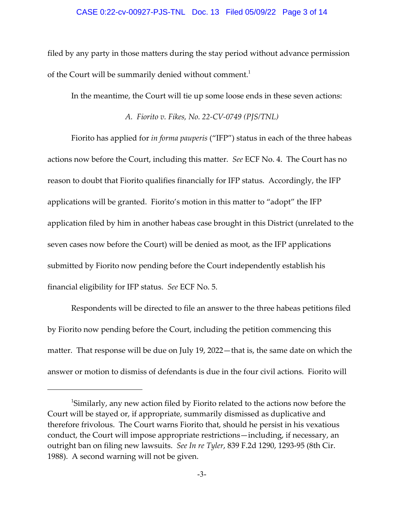#### CASE 0:22-cv-00927-PJS-TNL Doc. 13 Filed 05/09/22 Page 3 of 14

filed by any party in those matters during the stay period without advance permission of the Court will be summarily denied without comment.<sup>1</sup>

In the meantime, the Court will tie up some loose ends in these seven actions:

*A. Fiorito v. Fikes, No. 22‐CV‐0749 (PJS/TNL)*

Fiorito has applied for *in forma pauperis* ("IFP") status in each of the three habeas actions now before the Court, including this matter. *See* ECF No. 4. The Court has no reason to doubt that Fiorito qualifies financially for IFP status. Accordingly, the IFP applications will be granted. Fiorito's motion in this matter to "adopt" the IFP application filed by him in another habeas case brought in this District (unrelated to the seven cases now before the Court) will be denied as moot, as the IFP applications submitted by Fiorito now pending before the Court independently establish his financial eligibility for IFP status. *See* ECF No. 5.

Respondents will be directed to file an answer to the three habeas petitions filed by Fiorito now pending before the Court, including the petition commencing this matter. That response will be due on July 19, 2022—that is, the same date on which the answer or motion to dismiss of defendants is due in the four civil actions. Fiorito will

<sup>&</sup>lt;sup>1</sup>Similarly, any new action filed by Fiorito related to the actions now before the Court will be stayed or, if appropriate, summarily dismissed as duplicative and therefore frivolous. The Court warns Fiorito that, should he persist in his vexatious conduct, the Court will impose appropriate restrictions—including, if necessary, an outright ban on filing new lawsuits. *See In re Tyler*, 839 F.2d 1290, 1293‐95 (8th Cir. 1988). A second warning will not be given.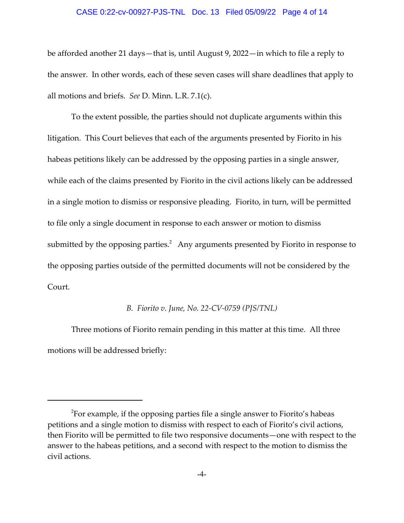#### CASE 0:22-cv-00927-PJS-TNL Doc. 13 Filed 05/09/22 Page 4 of 14

be afforded another 21 days—that is, until August 9, 2022—in which to file a reply to the answer. In other words, each of these seven cases will share deadlines that apply to all motions and briefs. *See* D. Minn. L.R. 7.1(c).

To the extent possible, the parties should not duplicate arguments within this litigation. This Court believes that each of the arguments presented by Fiorito in his habeas petitions likely can be addressed by the opposing parties in a single answer, while each of the claims presented by Fiorito in the civil actions likely can be addressed in a single motion to dismiss or responsive pleading. Fiorito, in turn, will be permitted to file only a single document in response to each answer or motion to dismiss submitted by the opposing parties. $^2$  Any arguments presented by Fiorito in response to the opposing parties outside of the permitted documents will not be considered by the Court.

#### *B. Fiorito v. June, No. 22‐CV‐0759 (PJS/TNL)*

Three motions of Fiorito remain pending in this matter at this time. All three motions will be addressed briefly:

 $^2$ For example, if the opposing parties file a single answer to Fiorito's habeas petitions and a single motion to dismiss with respect to each of Fiorito's civil actions, then Fiorito will be permitted to file two responsive documents—one with respect to the answer to the habeas petitions, and a second with respect to the motion to dismiss the civil actions.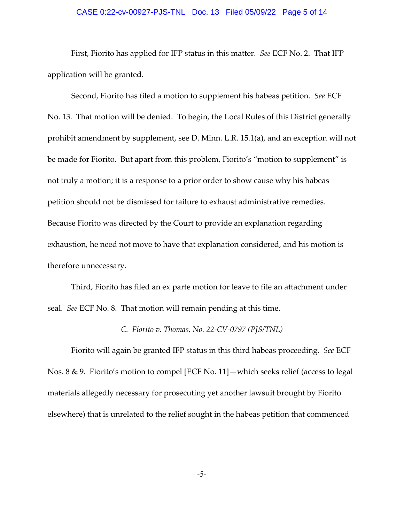### CASE 0:22-cv-00927-PJS-TNL Doc. 13 Filed 05/09/22 Page 5 of 14

First, Fiorito has applied for IFP status in this matter. *See* ECF No. 2. That IFP application will be granted.

Second, Fiorito has filed a motion to supplement his habeas petition. *See* ECF No. 13. That motion will be denied. To begin, the Local Rules of this District generally prohibit amendment by supplement, see D. Minn. L.R. 15.1(a), and an exception will not be made for Fiorito. But apart from this problem, Fiorito's "motion to supplement" is not truly a motion; it is a response to a prior order to show cause why his habeas petition should not be dismissed for failure to exhaust administrative remedies. Because Fiorito was directed by the Court to provide an explanation regarding exhaustion, he need not move to have that explanation considered, and his motion is therefore unnecessary.

Third, Fiorito has filed an ex parte motion for leave to file an attachment under seal. *See* ECF No. 8. That motion will remain pending at this time.

### *C. Fiorito v. Thomas, No. 22‐CV‐0797 (PJS/TNL)*

Fiorito will again be granted IFP status in this third habeas proceeding. *See* ECF Nos. 8 & 9. Fiorito's motion to compel [ECF No. 11]—which seeks relief (access to legal materials allegedly necessary for prosecuting yet another lawsuit brought by Fiorito elsewhere) that is unrelated to the relief sought in the habeas petition that commenced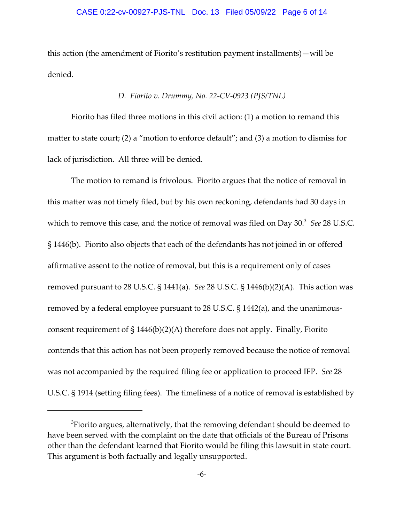#### CASE 0:22-cv-00927-PJS-TNL Doc. 13 Filed 05/09/22 Page 6 of 14

this action (the amendment of Fiorito's restitution payment installments)—will be denied.

### *D. Fiorito v. Drummy, No. 22‐CV‐0923 (PJS/TNL)*

Fiorito has filed three motions in this civil action: (1) a motion to remand this matter to state court; (2) a "motion to enforce default"; and (3) a motion to dismiss for lack of jurisdiction. All three will be denied.

The motion to remand is frivolous. Fiorito argues that the notice of removal in this matter was not timely filed, but by his own reckoning, defendants had 30 days in which to remove this case, and the notice of removal was filed on Day 30.<sup>3</sup> See 28 U.S.C. § 1446(b). Fiorito also objects that each of the defendants has not joined in or offered affirmative assent to the notice of removal, but this is a requirement only of cases removed pursuant to 28 U.S.C. § 1441(a). *See* 28 U.S.C. § 1446(b)(2)(A). This action was removed by a federal employee pursuant to 28 U.S.C. § 1442(a), and the unanimous‐ consent requirement of  $\S 1446(b)(2)(A)$  therefore does not apply. Finally, Fiorito contends that this action has not been properly removed because the notice of removal was not accompanied by the required filing fee or application to proceed IFP. *See* 28 U.S.C. § 1914 (setting filing fees). The timeliness of a notice of removal is established by

 ${}^{3}$ Fiorito argues, alternatively, that the removing defendant should be deemed to have been served with the complaint on the date that officials of the Bureau of Prisons other than the defendant learned that Fiorito would be filing this lawsuit in state court. This argument is both factually and legally unsupported.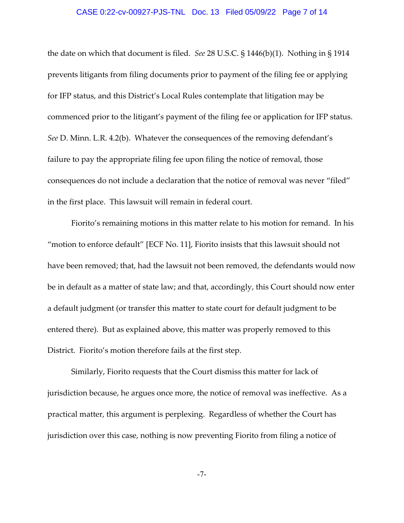### CASE 0:22-cv-00927-PJS-TNL Doc. 13 Filed 05/09/22 Page 7 of 14

the date on which that document is filed. *See* 28 U.S.C. § 1446(b)(1). Nothing in § 1914 prevents litigants from filing documents prior to payment of the filing fee or applying for IFP status, and this District's Local Rules contemplate that litigation may be commenced prior to the litigant's payment of the filing fee or application for IFP status. *See* D. Minn. L.R. 4.2(b). Whatever the consequences of the removing defendant's failure to pay the appropriate filing fee upon filing the notice of removal, those consequences do not include a declaration that the notice of removal was never "filed" in the first place. This lawsuit will remain in federal court.

Fiorito's remaining motions in this matter relate to his motion for remand. In his "motion to enforce default" [ECF No. 11], Fiorito insists that this lawsuit should not have been removed; that, had the lawsuit not been removed, the defendants would now be in default as a matter of state law; and that, accordingly, this Court should now enter a default judgment (or transfer this matter to state court for default judgment to be entered there). But as explained above, this matter was properly removed to this District. Fiorito's motion therefore fails at the first step.

Similarly, Fiorito requests that the Court dismiss this matter for lack of jurisdiction because, he argues once more, the notice of removal was ineffective. As a practical matter, this argument is perplexing. Regardless of whether the Court has jurisdiction over this case, nothing is now preventing Fiorito from filing a notice of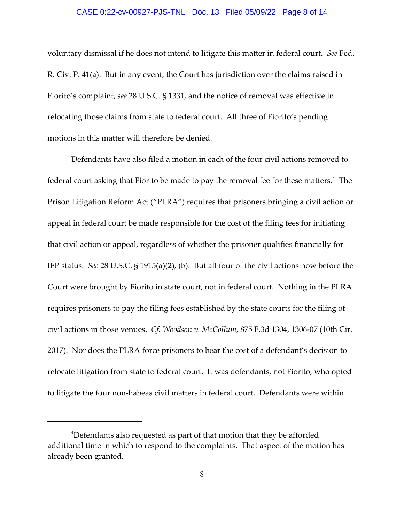#### CASE 0:22-cv-00927-PJS-TNL Doc. 13 Filed 05/09/22 Page 8 of 14

voluntary dismissal if he does not intend to litigate this matter in federal court. *See* Fed. R. Civ. P. 41(a). But in any event, the Court has jurisdiction over the claims raised in Fiorito's complaint, *see* 28 U.S.C. § 1331, and the notice of removal was effective in relocating those claims from state to federal court. All three of Fiorito's pending motions in this matter will therefore be denied.

Defendants have also filed a motion in each of the four civil actions removed to federal court asking that Fiorito be made to pay the removal fee for these matters. $^4\,$  The Prison Litigation Reform Act ("PLRA") requires that prisoners bringing a civil action or appeal in federal court be made responsible for the cost of the filing fees for initiating that civil action or appeal, regardless of whether the prisoner qualifies financially for IFP status. *See* 28 U.S.C. § 1915(a)(2), (b). But all four of the civil actions now before the Court were brought by Fiorito in state court, not in federal court. Nothing in the PLRA requires prisoners to pay the filing fees established by the state courts for the filing of civil actions in those venues. *Cf. Woodson v. McCollum*, 875 F.3d 1304, 1306‐07 (10th Cir. 2017). Nor does the PLRA force prisoners to bear the cost of a defendant's decision to relocate litigation from state to federal court. It was defendants, not Fiorito, who opted to litigate the four non-habeas civil matters in federal court. Defendants were within

<sup>&</sup>lt;sup>4</sup>Defendants also requested as part of that motion that they be afforded additional time in which to respond to the complaints. That aspect of the motion has already been granted.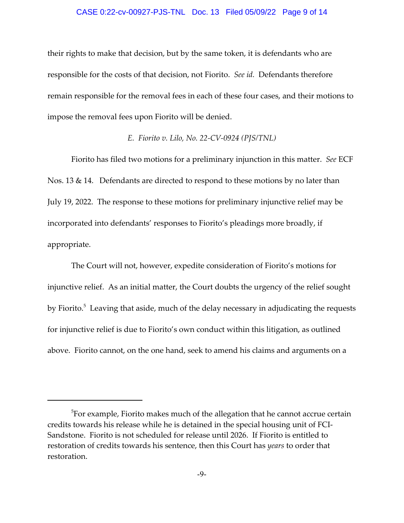#### CASE 0:22-cv-00927-PJS-TNL Doc. 13 Filed 05/09/22 Page 9 of 14

their rights to make that decision, but by the same token, it is defendants who are responsible for the costs of that decision, not Fiorito. *See id.* Defendants therefore remain responsible for the removal fees in each of these four cases, and their motions to impose the removal fees upon Fiorito will be denied.

### *E. Fiorito v. Lilo, No. 22‐CV‐0924 (PJS/TNL)*

Fiorito has filed two motions for a preliminary injunction in this matter. *See* ECF Nos. 13 & 14. Defendants are directed to respond to these motions by no later than July 19, 2022. The response to these motions for preliminary injunctive relief may be incorporated into defendants' responses to Fiorito's pleadings more broadly, if appropriate.

The Court will not, however, expedite consideration of Fiorito's motions for injunctive relief. As an initial matter, the Court doubts the urgency of the relief sought by Fiorito.<sup>5</sup> Leaving that aside, much of the delay necessary in adjudicating the requests for injunctive relief is due to Fiorito's own conduct within this litigation, as outlined above. Fiorito cannot, on the one hand, seek to amend his claims and arguments on a

 $^5$ For example, Fiorito makes much of the allegation that he cannot accrue certain credits towards his release while he is detained in the special housing unit of FCI‐ Sandstone. Fiorito is not scheduled for release until 2026. If Fiorito is entitled to restoration of credits towards his sentence, then this Court has *years* to order that restoration.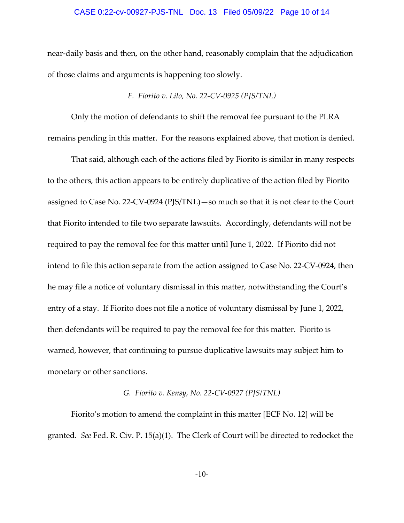#### CASE 0:22-cv-00927-PJS-TNL Doc. 13 Filed 05/09/22 Page 10 of 14

near‐daily basis and then, on the other hand, reasonably complain that the adjudication of those claims and arguments is happening too slowly.

### *F. Fiorito v. Lilo, No. 22‐CV‐0925 (PJS/TNL)*

Only the motion of defendants to shift the removal fee pursuant to the PLRA remains pending in this matter. For the reasons explained above, that motion is denied.

That said, although each of the actions filed by Fiorito is similar in many respects to the others, this action appears to be entirely duplicative of the action filed by Fiorito assigned to Case No. 22‐CV‐0924 (PJS/TNL)—so much so that it is not clear to the Court that Fiorito intended to file two separate lawsuits. Accordingly, defendants will not be required to pay the removal fee for this matter until June 1, 2022. If Fiorito did not intend to file this action separate from the action assigned to Case No. 22‐CV‐0924, then he may file a notice of voluntary dismissal in this matter, notwithstanding the Court's entry of a stay. If Fiorito does not file a notice of voluntary dismissal by June 1, 2022, then defendants will be required to pay the removal fee for this matter. Fiorito is warned, however, that continuing to pursue duplicative lawsuits may subject him to monetary or other sanctions.

### *G. Fiorito v. Kensy, No. 22‐CV‐0927 (PJS/TNL)*

Fiorito's motion to amend the complaint in this matter [ECF No. 12] will be granted. *See* Fed. R. Civ. P. 15(a)(1). The Clerk of Court will be directed to redocket the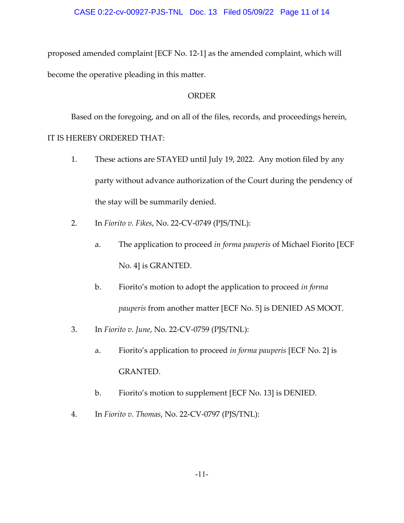proposed amended complaint [ECF No. 12‐1] as the amended complaint, which will become the operative pleading in this matter.

## ORDER

Based on the foregoing, and on all of the files, records, and proceedings herein, IT IS HEREBY ORDERED THAT:

- 1. These actions are STAYED until July 19, 2022. Any motion filed by any party without advance authorization of the Court during the pendency of the stay will be summarily denied.
- 2. In *Fiorito v. Fikes*, No. 22‐CV‐0749 (PJS/TNL):
	- a. The application to proceed *in forma pauperis* of Michael Fiorito [ECF No. 4] is GRANTED.
	- b. Fiorito's motion to adopt the application to proceed *in forma pauperis* from another matter [ECF No. 5] is DENIED AS MOOT.
- 3. In *Fiorito v. June*, No. 22‐CV‐0759 (PJS/TNL):
	- a. Fiorito's application to proceed *in forma pauperis* [ECF No. 2] is GRANTED.
	- b. Fiorito's motion to supplement [ECF No. 13] is DENIED.
- 4. In *Fiorito v. Thomas*, No. 22‐CV‐0797 (PJS/TNL):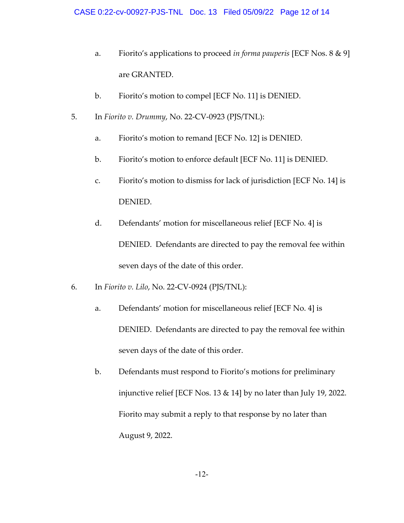- a. Fiorito's applications to proceed *in forma pauperis* [ECF Nos. 8 & 9] are GRANTED.
- b. Fiorito's motion to compel [ECF No. 11] is DENIED.
- 5. In *Fiorito v. Drummy*, No. 22‐CV‐0923 (PJS/TNL):
	- a. Fiorito's motion to remand [ECF No. 12] is DENIED.
	- b. Fiorito's motion to enforce default [ECF No. 11] is DENIED.
	- c. Fiorito's motion to dismiss for lack of jurisdiction [ECF No. 14] is DENIED.
	- d. Defendants' motion for miscellaneous relief [ECF No. 4] is DENIED. Defendants are directed to pay the removal fee within seven days of the date of this order.
- 6. In *Fiorito v. Lilo*, No. 22‐CV‐0924 (PJS/TNL):
	- a. Defendants' motion for miscellaneous relief [ECF No. 4] is DENIED. Defendants are directed to pay the removal fee within seven days of the date of this order.
	- b. Defendants must respond to Fiorito's motions for preliminary injunctive relief [ECF Nos. 13 & 14] by no later than July 19, 2022. Fiorito may submit a reply to that response by no later than August 9, 2022.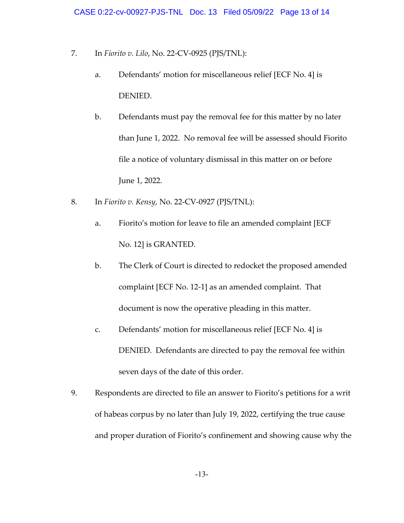- 7. In *Fiorito v. Lilo*, No. 22‐CV‐0925 (PJS/TNL):
	- a. Defendants' motion for miscellaneous relief [ECF No. 4] is DENIED.
	- b. Defendants must pay the removal fee for this matter by no later than June 1, 2022. No removal fee will be assessed should Fiorito file a notice of voluntary dismissal in this matter on or before June 1, 2022.
- 8. In *Fiorito v. Kensy*, No. 22‐CV‐0927 (PJS/TNL):
	- a. Fiorito's motion for leave to file an amended complaint [ECF No. 12] is GRANTED.
	- b. The Clerk of Court is directed to redocket the proposed amended complaint [ECF No. 12‐1] as an amended complaint. That document is now the operative pleading in this matter.
	- c. Defendants' motion for miscellaneous relief [ECF No. 4] is DENIED. Defendants are directed to pay the removal fee within seven days of the date of this order.
- 9. Respondents are directed to file an answer to Fiorito's petitions for a writ of habeas corpus by no later than July 19, 2022, certifying the true cause and proper duration of Fiorito's confinement and showing cause why the